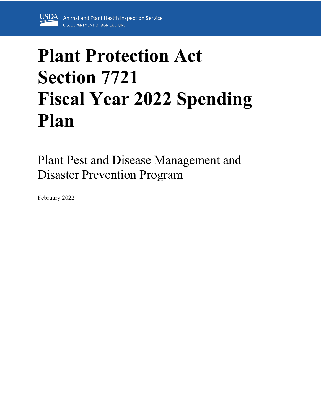

# **Plant Protection Act Section 7721 Fiscal Year 2022 Spending Plan**

Plant Pest and Disease Management and Disaster Prevention Program

February 2022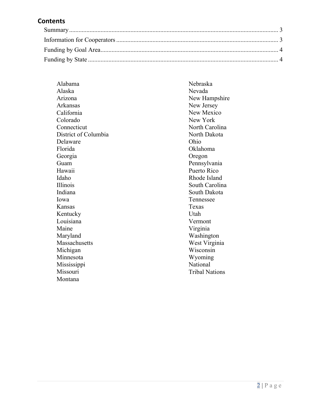## **Contents**

| Alabama              | Nebraska              |
|----------------------|-----------------------|
| Alaska               | Nevada                |
| Arizona              | New Hampshire         |
| Arkansas             | New Jersey            |
| California           | New Mexico            |
| Colorado             | New York              |
| Connecticut          | North Carolina        |
| District of Columbia | North Dakota          |
| Delaware             | Ohio                  |
| Florida              | Oklahoma              |
| Georgia              | Oregon                |
| Guam                 | Pennsylvania          |
| Hawaii               | Puerto Rico           |
| Idaho                | Rhode Island          |
| Illinois             | South Carolina        |
| Indiana              | South Dakota          |
| Iowa                 | Tennessee             |
| Kansas               | Texas                 |
| Kentucky             | Utah                  |
| Louisiana            | Vermont               |
| Maine                | Virginia              |
| Maryland             | Washington            |
| Massachusetts        | West Virginia         |
| Michigan             | Wisconsin             |
| Minnesota            | Wyoming               |
| Mississippi          | National              |
| Missouri             | <b>Tribal Nations</b> |
| Montana              |                       |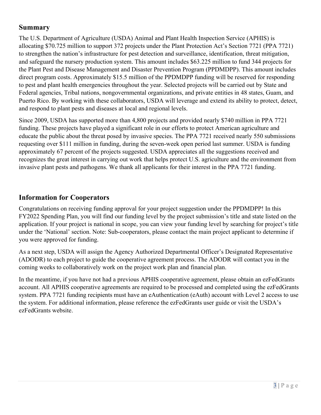## <span id="page-2-0"></span>**Summary**

The U.S. Department of Agriculture (USDA) Animal and Plant Health Inspection Service (APHIS) is allocating \$70.725 million to support 372 projects under the Plant Protection Act's Section 7721 (PPA 7721) to strengthen the nation's infrastructure for pest detection and surveillance, identification, threat mitigation, and safeguard the nursery production system. This amount includes \$63.225 million to fund 344 projects for the Plant Pest and Disease Management and Disaster Prevention Program (PPDMDPP). This amount includes direct program costs. Approximately \$15.5 million of the PPDMDPP funding will be reserved for responding to pest and plant health emergencies throughout the year. Selected projects will be carried out by State and Federal agencies, Tribal nations, nongovernmental organizations, and private entities in 48 states, Guam, and Puerto Rico. By working with these collaborators, USDA will leverage and extend its ability to protect, detect, and respond to plant pests and diseases at local and regional levels.

Since 2009, USDA has supported more than 4,800 projects and provided nearly \$740 million in PPA 7721 funding. These projects have played a significant role in our efforts to protect American agriculture and educate the public about the threat posed by invasive species. The PPA 7721 received nearly 550 submissions requesting over \$111 million in funding, during the seven-week open period last summer. USDA is funding approximately 67 percent of the projects suggested. USDA appreciates all the suggestions received and recognizes the great interest in carrying out work that helps protect U.S. agriculture and the environment from invasive plant pests and pathogens. We thank all applicants for their interest in the PPA 7721 funding.

## <span id="page-2-1"></span>**Information for Cooperators**

Congratulations on receiving funding approval for your project suggestion under the PPDMDPP! In this FY2022 Spending Plan, you will find our funding level by the project submission's title and state listed on the application. If your project is national in scope, you can view your funding level by searching for project's title under the 'National' section. Note: Sub-cooperators, please contact the main project applicant to determine if you were approved for funding.

As a next step, USDA will assign the Agency Authorized Departmental Officer's Designated Representative (ADODR) to each project to guide the cooperative agreement process. The ADODR will contact you in the coming weeks to collaboratively work on the project work plan and financial plan.

In the meantime, if you have not had a previous APHIS cooperative agreement, please obtain an ezFedGrants account. All APHIS cooperative agreements are required to be processed and completed using the ezFedGrants system. PPA 7721 funding recipients must have an eAuthentication (eAuth) account with Level 2 access to use the system. For additional information, please reference the ezFedGrants user guide or visit the USDA's ezFedGrants website.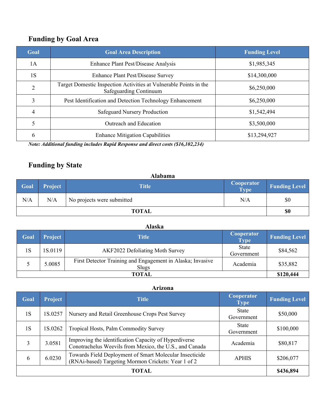# <span id="page-3-0"></span>**Funding by Goal Area**

| Goal           | <b>Goal Area Description</b>                                                                | <b>Funding Level</b> |
|----------------|---------------------------------------------------------------------------------------------|----------------------|
| 1A             | <b>Enhance Plant Pest/Disease Analysis</b>                                                  | \$1,985,345          |
| 1S             | <b>Enhance Plant Pest/Disease Survey</b>                                                    | \$14,300,000         |
| $\overline{2}$ | Target Domestic Inspection Activities at Vulnerable Points in the<br>Safeguarding Continuum | \$6,250,000          |
| 3              | Pest Identification and Detection Technology Enhancement                                    | \$6,250,000          |
| 4              | <b>Safeguard Nursery Production</b>                                                         | \$1,542,494          |
| 5              | Outreach and Education                                                                      | \$3,500,000          |
| 6              | <b>Enhance Mitigation Capabilities</b>                                                      | \$13,294,927         |

*Note: Additional funding includes Rapid Response and direct costs (\$16,102,234)*

# <span id="page-3-1"></span>**Funding by State**

|              | <b>Alabama</b> |                            |                                        |                      |  |
|--------------|----------------|----------------------------|----------------------------------------|----------------------|--|
| <b>Goal</b>  | <b>Project</b> | <b>Title</b>               | <b>Cooperator</b><br>Type <sup>1</sup> | <b>Funding Level</b> |  |
| N/A          | N/A            | No projects were submitted | N/A                                    | \$0                  |  |
| <b>TOTAL</b> |                |                            | \$0                                    |                      |  |

| Goal         | <b>Project</b> | Title                                                               | Cooperator<br><b>Type</b> | <b>Funding Level</b> |
|--------------|----------------|---------------------------------------------------------------------|---------------------------|----------------------|
| 1 S          | 1S.0119        | <b>AKF2022 Defoliating Moth Survey</b>                              | State<br>Government       | \$84,562             |
|              | 5.0085         | First Detector Training and Engagement in Alaska; Invasive<br>Slugs | Academia                  | \$35,882             |
| <b>TOTAL</b> |                |                                                                     |                           | \$120,444            |

| Arizona |  |
|---------|--|
|         |  |

| Goal  | <b>Project</b> | <b>Title</b>                                                                                                     | Cooperator<br><b>Type</b>  | <b>Funding Level</b> |
|-------|----------------|------------------------------------------------------------------------------------------------------------------|----------------------------|----------------------|
| 1S    | 1S.0257        | Nursery and Retail Greenhouse Crops Pest Survey                                                                  | <b>State</b><br>Government | \$50,000             |
| 1S    | 1S.0262        | Tropical Hosts, Palm Commodity Survey                                                                            | <b>State</b><br>Government | \$100,000            |
| 3     | 3.0581         | Improving the identification Capacity of Hyperdiverse<br>Conotrachelus Weevils from Mexico, the U.S., and Canada | Academia                   | \$80,817             |
| 6     | 6.0230         | Towards Field Deployment of Smart Molecular Insecticide<br>(RNAi-based) Targeting Mormon Crickets: Year 1 of 2   | <b>APHIS</b>               | \$206,077            |
| TOTAL |                |                                                                                                                  |                            |                      |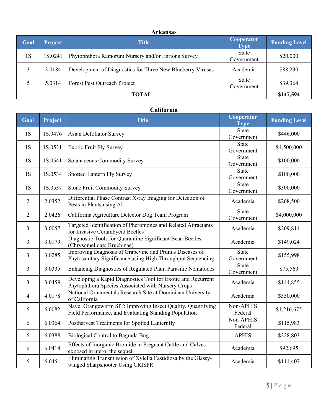#### **Arkansas**

| Goal  | Project | <b>Title</b>                                               | Cooperator<br><b>Type</b>  | <b>Funding Level</b> |
|-------|---------|------------------------------------------------------------|----------------------------|----------------------|
| 1S    | 1S.0241 | Phytophthora Ramorum Nursery and/or Enrions Survey         | State<br>Government        | \$20,000             |
|       | 3.0184  | Development of Diagnostics for Three New Blueberry Viruses | Academia                   | \$88,230             |
|       | 5.0314  | Forest Pest Outreach Project                               | <b>State</b><br>Government | \$39,364             |
| TOTAL |         |                                                            |                            | \$147,594            |

#### **California**

| Goal           | Project | <b>Title</b>                                                                                                           | Cooperator<br><b>Type</b>  | <b>Funding Level</b> |
|----------------|---------|------------------------------------------------------------------------------------------------------------------------|----------------------------|----------------------|
| 1S             | 1S.0476 | Asian Defoliator Survey                                                                                                | <b>State</b><br>Government | \$446,000            |
| 1S             | 1S.0531 | <b>Exotic Fruit Fly Survey</b>                                                                                         | <b>State</b><br>Government | \$4,500,000          |
| 1S             | 1S.0541 | Solanaceous Commodity Survey                                                                                           | State<br>Government        | \$100,000            |
| 1S             | 1S.0534 | Spotted Lantern Fly Survey                                                                                             | <b>State</b><br>Government | \$100,000            |
| 1S             | 1S.0537 | <b>Stone Fruit Commodity Survey</b>                                                                                    | <b>State</b><br>Government | \$300,000            |
| $\overline{2}$ | 2.0352  | Differential Phase Contrast X-ray Imaging for Detection of<br>Pests in Plants using AI                                 | Academia                   | \$268,500            |
| $\overline{2}$ | 2.0426  | California Agriculture Detector Dog Team Program                                                                       | <b>State</b><br>Government | \$4,000,000          |
| 3              | 3.0057  | Targeted Identification of Pheromones and Related Attractants<br>for Invasive Cerambycid Beetles                       | Academia                   | \$209,814            |
| 3              | 3.0179  | Diagnostic Tools for Quarantine Significant Bean Beetles<br>(Chrysomelidae: Bruchinae)                                 | Academia                   | \$149,024            |
| 3              | 3.0285  | Improving Diagnosis of Grapevine and Prunus Diseases of<br>Phytosanitary Significance using High Throughput Sequencing | State<br>Government        | \$155,998            |
| 3              | 3.0335  | Enhancing Diagnostics of Regulated Plant Parasitic Nematodes                                                           | <b>State</b><br>Government | \$75,569             |
| 3              | 3.0459  | Developing a Rapid Diagnostics Tool for Exotic and Recurrent<br>Phytophthora Species Associated with Nursery Crops     | Academia                   | \$144,855            |
| 4              | 4.0178  | National Ornamentals Research Site at Dominican University<br>of California                                            | Academia                   | \$350,000            |
| 6              | 6.0082  | Navel Orangeworm SIT: Improving Insect Quality, Quantifying<br>Field Performance, and Evaluating Standing Population   | Non-APHIS<br>Federal       | \$1,216,675          |
| 6              | 6.0364  | Postharvest Treatments for Spotted Lanternfly                                                                          | Non-APHIS<br>Federal       | \$115,983            |
| 6              | 6.0388  | Biological Control to Bagrada Bug                                                                                      | <b>APHIS</b>               | \$228,803            |
| 6              | 6.0414  | Effects of Inorganic Bromide in Pregnant Cattle and Calves<br>exposed in utero: the sequel                             | Academia                   | \$92,695             |
| 6              | 6.0451  | Eliminating Transmission of Xylella Fastidiosa by the Glassy-<br>winged Sharpshooter Using CRISPR                      | Academia                   | \$111,407            |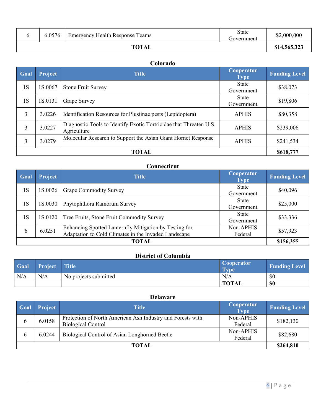| 6.0576 | <b>Emergency Health Response Teams</b> | <b>State</b><br>Government | \$2,000,000  |
|--------|----------------------------------------|----------------------------|--------------|
|        | <b>TOTAL</b>                           |                            | \$14,565,323 |

#### **Colorado**

| Goal         | <b>Project</b> | <b>Title</b>                                                                      | Cooperator<br><b>Type</b>  | <b>Funding Level</b> |
|--------------|----------------|-----------------------------------------------------------------------------------|----------------------------|----------------------|
| 1S           | 1S.0067        | <b>Stone Fruit Survey</b>                                                         | <b>State</b><br>Government | \$38,073             |
| 1S           | 1S.0131        | Grape Survey                                                                      | <b>State</b><br>Government | \$19,806             |
| 3            | 3.0226         | Identification Resources for Plusiinae pests (Lepidoptera)                        | <b>APHIS</b>               | \$80,358             |
| 3            | 3.0227         | Diagnostic Tools to Identify Exotic Tortricidae that Threaten U.S.<br>Agriculture | <b>APHIS</b>               | \$239,006            |
| 3            | 3.0279         | Molecular Research to Support the Asian Giant Hornet Response                     | <b>APHIS</b>               | \$241,534            |
| <b>TOTAL</b> |                |                                                                                   |                            |                      |

## **Connecticut**

| Goal         | Project | <b>Title</b>                                                                                                   | <b>Cooperator</b><br><b>Type</b> | <b>Funding Level</b> |
|--------------|---------|----------------------------------------------------------------------------------------------------------------|----------------------------------|----------------------|
| 1S           | 1S.0026 | <b>Grape Commodity Survey</b>                                                                                  | <b>State</b><br>Government       | \$40,096             |
| 1S           | 1S.0030 | Phytophthora Ramorum Survey                                                                                    | <b>State</b><br>Government       | \$25,000             |
| 1S           | 1S.0120 | Tree Fruits, Stone Fruit Commodity Survey                                                                      | <b>State</b><br>Government       | \$33,336             |
| 6            | 6.0251  | Enhancing Spotted Lanternfly Mitigation by Testing for<br>Adaptation to Cold Climates in the Invaded Landscape | Non-APHIS<br>Federal             | \$57,923             |
| <b>TOTAL</b> |         |                                                                                                                |                                  |                      |

## **District of Columbia**

| Goal | <b>Project</b> | Title                 | <b>Cooperator</b><br><b>Type</b> | <b>Funding Level</b> |
|------|----------------|-----------------------|----------------------------------|----------------------|
| N/A  | N/A            | No projects submitted | N/A                              | \$0                  |
|      |                |                       | <b>TOTAL</b>                     | \$0                  |

|       | <b>Delaware</b> |                                                                                         |                           |                      |  |
|-------|-----------------|-----------------------------------------------------------------------------------------|---------------------------|----------------------|--|
| Goal  | Project         | Title                                                                                   | Cooperator<br><b>Type</b> | <b>Funding Level</b> |  |
| 6     | 6.0158          | Protection of North American Ash Industry and Forests with<br><b>Biological Control</b> | Non-APHIS<br>Federal      | \$182,130            |  |
| 6     | 6.0244          | Biological Control of Asian Longhorned Beetle                                           | Non-APHIS<br>Federal      | \$82,680             |  |
| TOTAL |                 |                                                                                         | \$264,810                 |                      |  |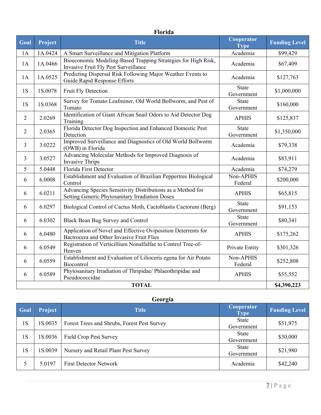|                | Florida |                                                                                                                |                            |                      |  |
|----------------|---------|----------------------------------------------------------------------------------------------------------------|----------------------------|----------------------|--|
| Goal           | Project | <b>Title</b>                                                                                                   | Cooperator<br><b>Type</b>  | <b>Funding Level</b> |  |
| 1A             | 1A.0424 | A Smart Surveillance and Mitigation Platform                                                                   | Academia                   | \$99,429             |  |
| 1A             | 1A.0466 | Bioeconomic Modeling-Based Trapping Strategies for High Risk,<br>Invasive Fruit Fly Pest Surveillance          | Academia                   | \$67,409             |  |
| 1A             | 1A.0525 | Predicting Dispersal Risk Following Major Weather Events to<br>Guide Rapid Response Efforts                    | Academia                   | \$127,763            |  |
| 1S             | 1S.0078 | Fruit Fly Detection                                                                                            | <b>State</b><br>Government | \$1,000,000          |  |
| 1S             | 1S.0368 | Survey for Tomato Leafminer, Old World Bollworm, and Pest of<br>Tomato                                         | <b>State</b><br>Government | \$160,000            |  |
| $\overline{2}$ | 2.0269  | Identification of Giant African Snail Odors to Aid Detector Dog<br>Training                                    | <b>APHIS</b>               | \$125,837            |  |
| $\overline{2}$ | 2.0365  | Florida Detector Dog Inspection and Enhanced Domestic Pest<br>Detection                                        | <b>State</b><br>Government | \$1,350,000          |  |
| 3              | 3.0222  | Improved Surveillance and Diagnostics of Old World Bollworm<br>(OWB) in Florida                                | Academia                   | \$79,338             |  |
| 3              | 3.0527  | Advancing Molecular Methods for Improved Diagnosis of<br><b>Invasive Thrips</b>                                | Academia                   | \$83,911             |  |
| 5              | 5.0448  | Florida First Detector                                                                                         | Academia                   | \$74,279             |  |
| 6              | 6.0008  | Establishment and Evaluation of Brazilian Peppertree Biological<br>Control                                     | Non-APHIS<br>Federal       | \$200,000            |  |
| 6              | 6.0211  | Advancing Species Sensitivity Distributions as a Method for<br>Setting Generic Phytosanitary Irradiation Doses | <b>APHIS</b>               | \$65,815             |  |
| 6              | 6.0297  | Biological Control of Cactus Moth, Cactoblastis Cactorum (Berg)                                                | <b>State</b><br>Government | \$91,153             |  |
| 6              | 6.0302  | Black Bean Bug Survey and Control                                                                              | <b>State</b><br>Government | \$80,341             |  |
| 6              | 6.0480  | Application of Novel and Effective Oviposition Deterrents for<br>Bactrocera and Other Invasive Fruit Flies     | <b>APHIS</b>               | \$175,262            |  |
| 6              | 6.0549  | Registration of Verticillium Nonalfalfae to Control Tree-of-<br>Heaven                                         | Private Entity             | \$301,326            |  |
| 6              | 6.0559  | Establishment and Evaluation of Lilioceris egena for Air Potato<br>Biocontrol                                  | Non-APHIS<br>Federal       | \$252,808            |  |
| 6              | 6.0589  | Phytosanitary Irradiation of Thripidae/ Phlaeothripidae and<br>Pseudococcidae                                  | <b>APHIS</b>               | \$55,552             |  |
| <b>TOTAL</b>   |         |                                                                                                                |                            |                      |  |

## **Georgia**

| Goal | <b>Project</b> | <b>Title</b>                                | Cooperator<br><b>Type</b>  | <b>Funding Level</b> |
|------|----------------|---------------------------------------------|----------------------------|----------------------|
| 1S   | 1S.0035        | Forest Trees and Shrubs, Forest Pest Survey | State<br>Government        | \$51,975             |
| 1S   | 1S.0036        | Field Crop Pest Survey                      | <b>State</b><br>Government | \$30,000             |
| 1S   | 1S.0039        | Nursery and Retail Plant Pest Survey        | State<br>Government        | \$21,980             |
|      | 5.0197         | <b>First Detector Network</b>               | Academia                   | \$42,240             |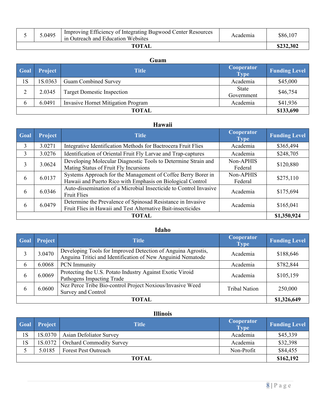|       | 5.0495 | Improving Efficiency of Integrating Bugwood Center Resources<br>in Outreach and Education Websites | Academia | \$86,107  |
|-------|--------|----------------------------------------------------------------------------------------------------|----------|-----------|
| TOTAL |        |                                                                                                    |          | \$232,302 |

#### **Guam**

| Goal | <b>Project</b> | <b>Title</b>                       | <b>Cooperator</b><br><b>Type</b> | <b>Funding Level</b> |
|------|----------------|------------------------------------|----------------------------------|----------------------|
| 1S   | 1S.0363        | <b>Guam Combined Survey</b>        | Academia                         | \$45,000             |
| C    | 2.0345         | <b>Target Domestic Inspection</b>  | State<br>Government              | \$46,754             |
| 6    | 6.0491         | Invasive Hornet Mitigation Program | Academia                         | \$41,936             |
|      |                | TOTAL                              |                                  | \$133,690            |

## **Hawaii**

| Goal  | Project | <b>Title</b>                                                                                                                | Cooperator<br><b>Type</b> | <b>Funding Level</b> |
|-------|---------|-----------------------------------------------------------------------------------------------------------------------------|---------------------------|----------------------|
| 3     | 3.0271  | Integrative Identification Methods for Bactrocera Fruit Flies                                                               | Academia                  | \$365,494            |
| 3     | 3.0276  | Identification of Oriental Fruit Fly Larvae and Trap-captures                                                               | Academia                  | \$248,705            |
| 3     | 3.0624  | Developing Molecular Diagnostic Tools to Determine Strain and<br>Mating Status of Fruit Fly Incursions                      | Non-APHIS<br>Federal      | \$120,880            |
| 6     | 6.0137  | Systems Approach for the Management of Coffee Berry Borer in<br>Hawaii and Puerto Rico with Emphasis on Biological Control  | Non-APHIS<br>Federal      | \$275,110            |
| 6     | 6.0346  | Auto-dissemination of a Microbial Insecticide to Control Invasive<br><b>Fruit Flies</b>                                     | Academia                  | \$175,694            |
| 6     | 6.0479  | Determine the Prevalence of Spinosad Resistance in Invasive<br>Fruit Flies in Hawaii and Test Alternative Bait-insecticides | Academia                  | \$165,041            |
| TOTAL |         |                                                                                                                             |                           |                      |

#### **Idaho**

| Goal         | <b>Project</b> | <b>Title</b>                                                                                                                | Cooperator<br><b>Type</b> | <b>Funding Level</b> |
|--------------|----------------|-----------------------------------------------------------------------------------------------------------------------------|---------------------------|----------------------|
|              | 3.0470         | Developing Tools for Improved Detection of Anguina Agrostis,<br>Anguina Tritici and Identification of New Anguinid Nematode | Academia                  | \$188,646            |
| 6            | 6.0068         | <b>PCN</b> Immunity                                                                                                         | Academia                  | \$782,844            |
| 6            | 6.0069         | Protecting the U.S. Potato Industry Against Exotic Viroid<br>Pathogens Impacting Trade                                      | Academia                  | \$105,159            |
| h.           | 6.0600         | Nez Perce Tribe Bio-control Project Noxious/Invasive Weed<br>Survey and Control                                             | <b>Tribal Nation</b>      | 250,000              |
| <b>TOTAL</b> |                |                                                                                                                             |                           |                      |

## **Illinois**

| <b>Goal</b>  | <b>Project</b> | <b>Title</b>                       | <b>Cooperator</b><br><b>Type</b> | <b>Funding Level</b> |
|--------------|----------------|------------------------------------|----------------------------------|----------------------|
| 1S           | 1S.0370        | <b>Asian Defoliator Survey</b>     | Academia                         | \$45,339             |
| 1S           |                | 1S.0372   Orchard Commodity Survey | Academia                         | \$32,398             |
|              | 5.0185         | <b>Forest Pest Outreach</b>        | Non-Profit                       | \$84,455             |
| <b>TOTAL</b> |                |                                    | \$162,192                        |                      |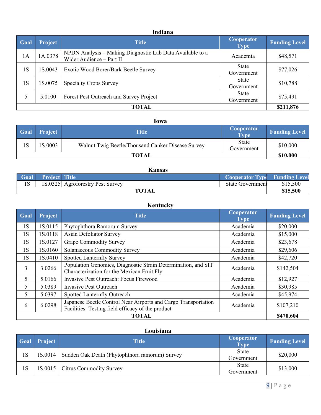#### **Indiana**

| Goal | Project      | <b>Title</b>                                                                          | Cooperator<br><b>Type</b>  | <b>Funding Level</b> |
|------|--------------|---------------------------------------------------------------------------------------|----------------------------|----------------------|
| 1A   | 1A.0378      | NPDN Analysis - Making Diagnostic Lab Data Available to a<br>Wider Audience - Part II | Academia                   | \$48,571             |
| 1S   | 1S.0043      | Exotic Wood Borer/Bark Beetle Survey                                                  | State<br>Government        | \$77,026             |
| 1S   | 1S.0075      | <b>Specialty Crops Survey</b>                                                         | State<br>Government        | \$10,788             |
| 5    | 5.0100       | Forest Pest Outreach and Survey Project                                               | <b>State</b><br>Government | \$75,491             |
|      | <b>TOTAL</b> |                                                                                       |                            |                      |

#### **Iowa**

| <b>Goal</b>  | Project | Title                                             | <b>Cooperator</b><br>Type  | <b>Funding Level</b> |
|--------------|---------|---------------------------------------------------|----------------------------|----------------------|
| 1S           | 1S.0003 | Walnut Twig Beetle/Thousand Canker Disease Survey | <b>State</b><br>Government | \$10,000             |
| <b>TOTAL</b> |         |                                                   |                            | \$10,000             |

#### **Kansas**

| Goal | Project Title |                                  | <b>Cooperator Type Funding Level</b> |          |
|------|---------------|----------------------------------|--------------------------------------|----------|
| 1S   |               | 1S.0325 Agroforestry Pest Survey | State Government                     | \$15,500 |
|      |               | <b>TOTAL</b>                     |                                      | \$15,500 |

#### **Kentucky Goal Project Cooperator Cooperator <b>Title Cooperator Cooperator Cooperator Type Funding Level** 1S 1S.0115 Phytophthora Ramorum Survey Academia 1 Academia \$20,000 1S 1S.0118 Asian Defoliator Survey Academia \$15,000 1S 1S.0127 Grape Commodity Survey Academia 1 \$23,678 1S | 1S.0160 | Solanaceous Commodity Survey | Academia | \$29,606 1S | 1S.0410 | Spotted Lanternfly Survey | Academia | \$42,720 3 3.0266 Population Genomics, Diagnostic Strain Determination, and SIT Population Genomics, Diagnostic Strain Determination, and S11 Academia \$142,504 5 5.0166 Invasive Pest Outreach: Focus Firewood Academia 1 \$12,927 5 5.0389 Invasive Pest Outreach Academia 830,985 5 5.0397 Spotted Lanternfly Outreach Academia | \$45,974 6 6.0298 Japanese Beetle Control Near Airports and Cargo Transportation Facilities: Testing field efficacy of the product Report Academia Reademia 3107,210 **TOTAL \$470,604**

#### **Louisiana**

|    | <b>Goal Project</b> | Title                                          | <b>Cooperator</b><br><b>Type</b> | <b>Funding Level</b> |
|----|---------------------|------------------------------------------------|----------------------------------|----------------------|
| 1S | 1S.0014             | Sudden Oak Death (Phytophthora ramorum) Survey | <b>State</b><br>Government       | \$20,000             |
| 1S |                     | 1S.0015   Citrus Commodity Survey              | <b>State</b><br>Government       | \$13,000             |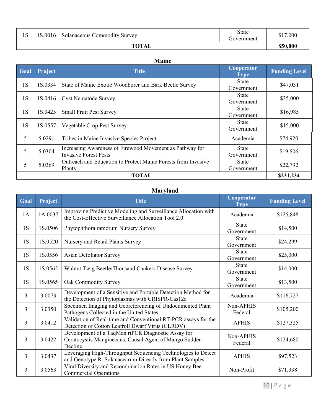| 1 <sup>C</sup><br>LΟ | 1S.0016 | <b>Solanaceous Commodity Survey</b> | State<br>Government | \$17,000 |
|----------------------|---------|-------------------------------------|---------------------|----------|
| <b>TOTAL</b>         |         |                                     | \$50,000            |          |

#### **Maine**

| Goal         | <b>Project</b> | <b>Title</b>                                                                             | Cooperator<br><b>Type</b>  | <b>Funding Level</b> |
|--------------|----------------|------------------------------------------------------------------------------------------|----------------------------|----------------------|
| 1S           | 1S.0334        | State of Maine Exotic Woodborer and Bark Beetle Survey                                   | <b>State</b><br>Government | \$47,031             |
| 1S           | 1S.0416        | <b>Cyst Nematode Survey</b>                                                              | <b>State</b><br>Government | \$35,000             |
| 1S           | 1S.0425        | <b>Small Fruit Pest Survey</b>                                                           | <b>State</b><br>Government | \$16,985             |
| 1S           | 1S.0557        | Vegetable Crop Pest Survey                                                               | <b>State</b><br>Government | \$15,000             |
| 5            | 5.0291         | Tribes in Maine Invasive Species Project                                                 | Academia                   | \$74,920             |
| 5            | 5.0304         | Increasing Awareness of Firewood Movement as Pathway for<br><b>Invasive Forest Pests</b> | <b>State</b><br>Government | \$19,506             |
| 5            | 5.0369         | Outreach and Education to Protect Maine Forests from Invasive<br>Plants                  | State<br>Government        | \$22,792             |
| <b>TOTAL</b> |                |                                                                                          |                            |                      |

## **Maryland**

| Goal | Project | <b>Title</b>                                                                                                             | Cooperator<br>Type         | <b>Funding Level</b> |
|------|---------|--------------------------------------------------------------------------------------------------------------------------|----------------------------|----------------------|
| 1A   | 1A.0037 | Improving Predictive Modeling and Surveillance Allocation with<br>the Cost-Effective Surveillance Allocation Tool 2.0    | Academia                   | \$125,848            |
| 1S   | 1S.0506 | Phytophthora ramorum Nursery Survey                                                                                      | <b>State</b><br>Government | \$14,500             |
| 1S   | 1S.0520 | Nursery and Retail Plants Survey                                                                                         | <b>State</b><br>Government | \$24,299             |
| 1S   | 1S.0556 | Asian Defoliator Survey                                                                                                  | <b>State</b><br>Government | \$25,000             |
| 1S   | 1S.0562 | Walnut Twig Beetle/Thousand Cankers Disease Survey                                                                       | <b>State</b><br>Government | \$14,000             |
| 1S   | 1S.0565 | Oak Commodity Survey                                                                                                     | <b>State</b><br>Government | \$13,500             |
| 3    | 3.0073  | Development of a Sensitive and Portable Detection Method for<br>the Detection of Phytoplasmas with CRISPR-Cas12a         | Academia                   | \$116,727            |
| 3    | 3.0350  | Specimen Imaging and Georeferencing of Undocumented Plant<br>Pathogens Collected in the United States                    | Non-APHIS<br>Federal       | \$105,200            |
| 3    | 3.0412  | Validation of Real-time and Conventional RT-PCR assays for the<br>Detection of Cotton Leafroll Dwarf Virus (CLRDV)       | <b>APHIS</b>               | \$127,325            |
| 3    | 3.0422  | Development of a TaqMan rtPCR Diagnostic Assay for<br>Ceratocystis Manginecans, Causal Agent of Mango Sudden<br>Decline  | Non-APHIS<br>Federal       | \$124,680            |
| 3    | 3.0437  | Leveraging High-Throughput Sequencing Technologies to Detect<br>and Genotype R. Solanacearum Directly from Plant Samples | <b>APHIS</b>               | \$97,523             |
| 3    | 3.0563  | Viral Diversity and Recombination Rates in US Honey Bee<br><b>Commercial Operations</b>                                  | Non-Profit                 | \$71,338             |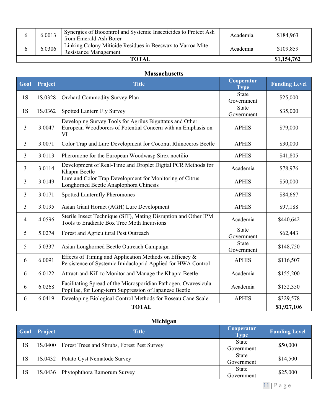|       | 6.0013 | Synergies of Biocontrol and Systemic Insecticides to Protect Ash<br>from Emerald Ash Borer | Academia | \$184,963   |
|-------|--------|--------------------------------------------------------------------------------------------|----------|-------------|
|       | 6.0306 | Linking Colony Miticide Residues in Beeswax to Varroa Mite<br><b>Resistance Management</b> | Academia | \$109,859   |
| ТОТАІ |        |                                                                                            |          | \$1,154,762 |

#### **Massachusetts**

| Goal         | Project | <b>Title</b>                                                                                                                   | Cooperator<br><b>Type</b>  | <b>Funding Level</b> |
|--------------|---------|--------------------------------------------------------------------------------------------------------------------------------|----------------------------|----------------------|
| 1S           | 1S.0328 | Orchard Commodity Survey Plan                                                                                                  | <b>State</b><br>Government | \$25,000             |
| 1S           | 1S.0362 | Spotted Lantern Fly Survey                                                                                                     | <b>State</b><br>Government | \$35,000             |
| 3            | 3.0047  | Developing Survey Tools for Agrilus Biguttatus and Other<br>European Woodborers of Potential Concern with an Emphasis on<br>VI | <b>APHIS</b>               | \$79,000             |
| 3            | 3.0071  | Color Trap and Lure Development for Coconut Rhinoceros Beetle                                                                  | <b>APHIS</b>               | \$30,000             |
| 3            | 3.0113  | Pheromone for the European Woodwasp Sirex noctilio                                                                             | <b>APHIS</b>               | \$41,805             |
| 3            | 3.0114  | Development of Real-Time and Droplet Digital PCR Methods for<br>Khapra Beetle                                                  | Academia                   | \$78,976             |
| 3            | 3.0149  | Lure and Color Trap Development for Monitoring of Citrus<br>Longhorned Beetle Anaplophora Chinesis                             | <b>APHIS</b>               | \$50,000             |
| 3            | 3.0171  | Spotted Lanternfly Pheromones                                                                                                  | <b>APHIS</b>               | \$84,667             |
| 3            | 3.0195  | Asian Giant Hornet (AGH) Lure Development                                                                                      | <b>APHIS</b>               | \$97,188             |
| 4            | 4.0596  | Sterile Insect Technique (SIT), Mating Disruption and Other IPM<br>Tools to Eradicate Box Tree Moth Incursions                 | Academia                   | \$440,642            |
| 5            | 5.0274  | Forest and Agricultural Pest Outreach                                                                                          | <b>State</b><br>Government | \$62,443             |
| 5            | 5.0337  | Asian Longhorned Beetle Outreach Campaign                                                                                      | <b>State</b><br>Government | \$148,750            |
| 6            | 6.0091  | Effects of Timing and Application Methods on Efficacy &<br>Persistence of Systemic Imidacloprid Applied for HWA Control        | <b>APHIS</b>               | \$116,507            |
| 6            | 6.0122  | Attract-and-Kill to Monitor and Manage the Khapra Beetle                                                                       | Academia                   | \$155,200            |
| 6            | 6.0268  | Facilitating Spread of the Microsporidian Pathogen, Ovavesicula<br>Popillae, for Long-term Suppression of Japanese Beetle      | Academia                   | \$152,350            |
| 6            | 6.0419  | Developing Biological Control Methods for Roseau Cane Scale                                                                    | <b>APHIS</b>               | \$329,578            |
| <b>TOTAL</b> |         |                                                                                                                                |                            |                      |

## **Michigan**

| <b>Goal</b> | Project | <b>Title</b>                                          | <b>Cooperator</b><br><b>Type</b> | <b>Funding Level</b> |
|-------------|---------|-------------------------------------------------------|----------------------------------|----------------------|
| 1S          |         | 1S.0400   Forest Trees and Shrubs, Forest Pest Survey | <b>State</b><br>Government       | \$50,000             |
| 1S          |         | 1S.0432   Potato Cyst Nematode Survey                 | <b>State</b><br>Government       | \$14,500             |
| 1S          |         | 1S.0436   Phytophthora Ramorum Survey                 | <b>State</b><br>Government       | \$25,000             |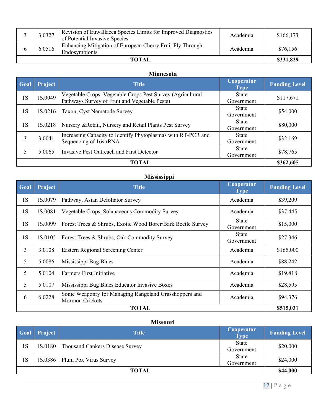|       | 3.0327 | Revision of Euwallacea Species Limits for Improved Diagnostics<br>of Potential Invasive Species | Academia | \$166,173 |
|-------|--------|-------------------------------------------------------------------------------------------------|----------|-----------|
|       | 6.0516 | Enhancing Mitigation of European Cherry Fruit Fly Through<br>Endosymbionts                      | Academia | \$76,156  |
| TOTAL |        |                                                                                                 |          | \$331,829 |

#### **Minnesota**

| Goal | <b>Project</b> | <b>Title</b>                                                                                                | Cooperator<br><b>Type</b>  | <b>Funding Level</b> |
|------|----------------|-------------------------------------------------------------------------------------------------------------|----------------------------|----------------------|
| 1S   | 1S.0049        | Vegetable Crops, Vegetable Crops Pest Survey (Agricultural<br>Pathways Survey of Fruit and Vegetable Pests) | State<br>Government        | \$117,671            |
| 1S   | 1S.0216        | Taxon, Cyst Nematode Survey                                                                                 | <b>State</b><br>Government | \$54,000             |
| 1S   | 1S.0218        | Nursery & Retail, Nursery and Retail Plants Pest Survey                                                     | <b>State</b><br>Government | \$80,000             |
| 3    | 3.0041         | Increasing Capacity to Identify Phytoplasmas with RT-PCR and<br>Sequencing of 16s rRNA                      | <b>State</b><br>Government | \$32,169             |
|      | 5.0065         | <b>Invasive Pest Outreach and First Detector</b>                                                            | <b>State</b><br>Government | \$78,765             |
|      | \$362,605      |                                                                                                             |                            |                      |

#### **Mississippi**

| Goal           | <b>Project</b> | <b>Title</b>                                                              | Cooperator<br><b>Type</b>  | <b>Funding Level</b> |  |  |
|----------------|----------------|---------------------------------------------------------------------------|----------------------------|----------------------|--|--|
| 1S             | 1S.0079        | Pathway, Asian Defoliator Survey                                          | Academia                   | \$39,209             |  |  |
| 1S             | 1S.0081        | Vegetable Crops, Solanaceous Commodity Survey                             | Academia                   | \$37,445             |  |  |
| 1S             | 1S.0099        | Forest Trees & Shrubs, Exotic Wood Borer/Bark Beetle Survey               | <b>State</b><br>Government | \$15,000             |  |  |
| 1S             | 1S.0105        | Forest Trees & Shrubs, Oak Commodity Survey                               | State<br>Government        | \$27,346             |  |  |
| $\overline{3}$ | 3.0108         | Eastern Regional Screening Center                                         | Academia                   | \$165,000            |  |  |
| 5              | 5.0086         | Mississippi Bug Blues                                                     | Academia                   | \$88,242             |  |  |
| 5              | 5.0104         | <b>Farmers First Initiative</b>                                           | Academia                   | \$19,818             |  |  |
| 5              | 5.0107         | Mississippi Bug Blues Educator Invasive Boxes                             | Academia                   | \$28,595             |  |  |
| 6              | 6.0228         | Sonic Weaponry for Managing Rangeland Grasshoppers and<br>Mormon Crickets | Academia                   | \$94,376             |  |  |
|                |                | <b>TOTAL</b>                                                              |                            |                      |  |  |

## **Missouri**

| Goal         | Project | <b>Title</b>                              | <b>Cooperator</b><br><b>Type</b> | <b>Funding Level</b> |
|--------------|---------|-------------------------------------------|----------------------------------|----------------------|
| 1S           |         | 1S.0180   Thousand Cankers Disease Survey | State<br>Government              | \$20,000             |
| 1S           |         | 1S.0386   Plum Pox Virus Survey           | State<br>Government              | \$24,000             |
| <b>TOTAL</b> |         |                                           | \$44,000                         |                      |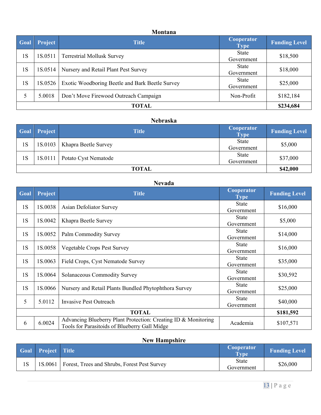#### **Montana**

| Goal  | Project | <b>Title</b>                                    | Cooperator<br><b>Type</b>  | <b>Funding Level</b> |
|-------|---------|-------------------------------------------------|----------------------------|----------------------|
| 1S    | 1S.0511 | <b>Terrestrial Mollusk Survey</b>               | State<br>Government        | \$18,500             |
| 1 S   | 1S.0514 | Nursery and Retail Plant Pest Survey            | <b>State</b><br>Government | \$18,000             |
| 1S    | 1S.0526 | Exotic Woodboring Beetle and Bark Beetle Survey | State<br>Government        | \$25,000             |
|       | 5.0018  | Don't Move Firewood Outreach Campaign           | Non-Profit                 | \$182,184            |
| TOTAL |         |                                                 |                            | \$234,684            |

## **Nebraska**

| <b>Goal</b>  | <b>Project</b> | <b>Title</b>                   | Cooperator<br><b>Type</b> | <b>Funding Level</b> |
|--------------|----------------|--------------------------------|---------------------------|----------------------|
| 1S           |                | 1S.0103   Khapra Beetle Survey | State<br>Government       | \$5,000              |
| 1S           | 1S.0111        | Potato Cyst Nematode           | State<br>Government       | \$37,000             |
| <b>TOTAL</b> |                |                                | \$42,000                  |                      |

## **Nevada**

| Goal         | Project | <b>Title</b>                                                                                                    | Cooperator<br><b>Type</b>  | <b>Funding Level</b> |
|--------------|---------|-----------------------------------------------------------------------------------------------------------------|----------------------------|----------------------|
| 1S           | 1S.0038 | Asian Defoliator Survey                                                                                         | <b>State</b><br>Government | \$16,000             |
| 1S           | 1S.0042 | Khapra Beetle Survey                                                                                            | <b>State</b><br>Government | \$5,000              |
| 1S           | 1S.0052 | Palm Commodity Survey                                                                                           | State<br>Government        | \$14,000             |
| 1S           | 1S.0058 | Vegetable Crops Pest Survey                                                                                     | State<br>Government        | \$16,000             |
| 1S           | 1S.0063 | Field Crops, Cyst Nematode Survey                                                                               | <b>State</b><br>Government | \$35,000             |
| 1S           | 1S.0064 | Solanaceous Commodity Survey                                                                                    | <b>State</b><br>Government | \$30,592             |
| 1S           | 1S.0066 | Nursery and Retail Plants Bundled Phytophthora Survey                                                           | <b>State</b><br>Government | \$25,000             |
| 5            | 5.0112  | <b>Invasive Pest Outreach</b>                                                                                   | <b>State</b><br>Government | \$40,000             |
| <b>TOTAL</b> |         |                                                                                                                 |                            | \$181,592            |
| 6            | 6.0024  | Advancing Blueberry Plant Protection: Creating ID & Monitoring<br>Tools for Parasitoids of Blueberry Gall Midge | Academia                   | \$107,571            |

## **New Hampshire**

| <b>Goal Project</b> Title |                                                        | <b>Cooperator</b><br>Type  | <b>Funding Level</b> |
|---------------------------|--------------------------------------------------------|----------------------------|----------------------|
|                           | 1S.0061   Forest, Trees and Shrubs, Forest Pest Survey | <b>State</b><br>Government | \$26,000             |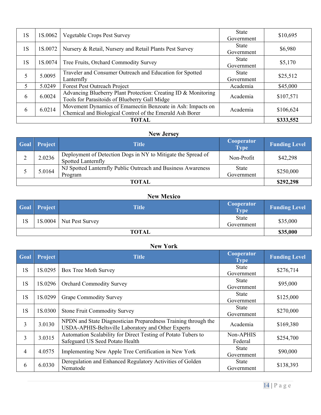| 1S | 1S.0062 | Vegetable Crops Pest Survey                                                                                            | <b>State</b><br>Government | \$10,695  |
|----|---------|------------------------------------------------------------------------------------------------------------------------|----------------------------|-----------|
| 1S | 1S.0072 | Nursery & Retail, Nursery and Retail Plants Pest Survey                                                                | State<br>Government        | \$6,980   |
| 1S | 1S.0074 | Tree Fruits, Orchard Commodity Survey                                                                                  | <b>State</b><br>Government | \$5,170   |
| 5  | 5.0095  | Traveler and Consumer Outreach and Education for Spotted<br>Lanternfly                                                 | <b>State</b><br>Government | \$25,512  |
| 5  | 5.0249  | Forest Pest Outreach Project                                                                                           | Academia                   | \$45,000  |
| 6  | 6.0024  | Advancing Blueberry Plant Protection: Creating ID & Monitoring<br>Tools for Parasitoids of Blueberry Gall Midge        | Academia                   | \$107,571 |
| 6  | 6.0214  | Movement Dynamics of Emamectin Benzoate in Ash: Impacts on<br>Chemical and Biological Control of the Emerald Ash Borer | Academia                   | \$106,624 |
|    |         | TOTAL                                                                                                                  |                            | \$333,552 |

## **New Jersey**

| Goal | Project   | Title                                                                                     | Cooperator<br><b>Type</b> | <b>Funding Level</b> |
|------|-----------|-------------------------------------------------------------------------------------------|---------------------------|----------------------|
|      | 2.0236    | Deployment of Detection Dogs in NY to Mitigate the Spread of<br><b>Spotted Lanternfly</b> | Non-Profit                | \$42,298             |
|      | 5.0164    | NJ Spotted Lanternfly Public Outreach and Business Awareness<br>Program                   | State<br>Government       | \$250,000            |
|      | \$292,298 |                                                                                           |                           |                      |

#### **New Mexico**

|              | <b>Goal</b> Project | <b>Title</b>    | Cooperator<br><b>Type</b> | <b>Funding Level</b> |
|--------------|---------------------|-----------------|---------------------------|----------------------|
| 1S           | 1S.0004             | Nut Pest Survey | State<br>Government       | \$35,000             |
| <b>TOTAL</b> |                     |                 | \$35,000                  |                      |

#### **New York**

| Goal | Project | <b>Title</b>                                                                                                         | Cooperator<br><b>Type</b>  | <b>Funding Level</b> |
|------|---------|----------------------------------------------------------------------------------------------------------------------|----------------------------|----------------------|
| 1S   | 1S.0295 | Box Tree Moth Survey                                                                                                 | State<br>Government        | \$276,714            |
| 1S   | 1S.0296 | <b>Orchard Commodity Survey</b>                                                                                      | <b>State</b><br>Government | \$95,000             |
| 1S   | 1S.0299 | <b>Grape Commodity Survey</b>                                                                                        | <b>State</b><br>Government | \$125,000            |
| 1S   | 1S.0300 | <b>Stone Fruit Commodity Survey</b>                                                                                  | State<br>Government        | \$270,000            |
| 3    | 3.0130  | NPDN and State Diagnostician Preparedness Training through the<br>USDA-APHIS-Beltsville Laboratory and Other Experts | Academia                   | \$169,380            |
| 3    | 3.0315  | Automation Scalability for Direct Testing of Potato Tubers to<br>Safeguard US Seed Potato Health                     | Non-APHIS<br>Federal       | \$254,700            |
| 4    | 4.0575  | Implementing New Apple Tree Certification in New York                                                                | <b>State</b><br>Government | \$90,000             |
| 6    | 6.0330  | Deregulation and Enhanced Regulatory Activities of Golden<br>Nematode                                                | State<br>Government        | \$138,393            |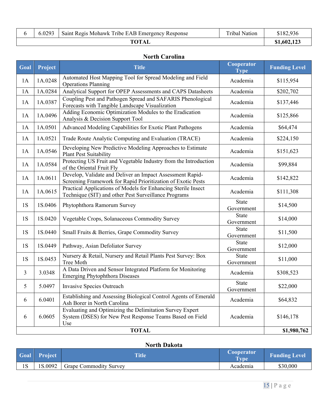|  | 5.0293 | Saint Regis Mohawk Tribe EAB Emergency Response | Fibal<br>Nation | 182,936    |
|--|--------|-------------------------------------------------|-----------------|------------|
|  |        |                                                 |                 | \$1,602,12 |

#### **North Carolina**

| Goal | Project     | <b>Title</b>                                                                                                                                | Cooperator<br><b>Type</b>  | <b>Funding Level</b> |
|------|-------------|---------------------------------------------------------------------------------------------------------------------------------------------|----------------------------|----------------------|
| 1A   | 1A.0248     | Automated Host Mapping Tool for Spread Modeling and Field<br><b>Operations Planning</b>                                                     | Academia                   | \$115,954            |
| 1A   | 1A.0284     | Analytical Support for OPEP Assessments and CAPS Datasheets                                                                                 | Academia                   | \$202,702            |
| 1A   | 1A.0387     | Coupling Pest and Pathogen Spread and SAFARIS Phenological<br>Forecasts with Tangible Landscape Visualization                               | Academia                   | \$137,446            |
| 1A   | 1A.0496     | Adding Economic Optimization Modules to the Eradication<br>Analysis & Decision Support Tool                                                 | Academia                   | \$125,866            |
| 1A   | 1A.0501     | Advanced Modeling Capabilities for Exotic Plant Pathogens                                                                                   | Academia                   | \$64,474             |
| 1A   | 1A.0521     | Trade Route Analytic Computing and Evaluation (TRACE)                                                                                       | Academia                   | \$224,150            |
| 1A   | 1A.0546     | Developing New Predictive Modeling Approaches to Estimate<br><b>Plant Pest Suitability</b>                                                  | Academia                   | \$151,623            |
| 1A   | 1A.0584     | Protecting US Fruit and Vegetable Industry from the Introduction<br>of the Oriental Fruit Fly                                               | Academia                   | \$99,884             |
| 1A   | 1A.0611     | Develop, Validate and Deliver an Impact Assessment Rapid-<br>Screening Framework for Rapid Prioritization of Exotic Pests                   | Academia                   | \$142,822            |
| 1A   | 1A.0615     | Practical Applications of Models for Enhancing Sterile Insect<br>Technique (SIT) and other Pest Surveillance Programs                       | Academia                   | \$111,308            |
| 1S   | 1S.0406     | Phytophthora Ramorum Survey                                                                                                                 | <b>State</b><br>Government | \$14,500             |
| 1S   | 1S.0420     | Vegetable Crops, Solanaceous Commodity Survey                                                                                               | State<br>Government        | \$14,000             |
| 1S   | 1S.0440     | Small Fruits & Berries, Grape Commodity Survey                                                                                              | <b>State</b><br>Government | \$11,500             |
| 1S   | 1S.0449     | Pathway, Asian Defoliator Survey                                                                                                            | State<br>Government        | \$12,000             |
| 1S   | 1S.0453     | Nursery & Retail, Nursery and Retail Plants Pest Survey: Box<br>Tree Moth                                                                   | State<br>Government        | \$11,000             |
| 3    | 3.0348      | A Data Driven and Sensor Integrated Platform for Monitoring<br><b>Emerging Phytophthora Diseases</b>                                        | Academia                   | \$308,523            |
| 5    | 5.0497      | Invasive Species Outreach                                                                                                                   | <b>State</b><br>Government | \$22,000             |
| 6    | 6.0401      | Establishing and Assessing Biological Control Agents of Emerald<br>Ash Borer in North Carolina                                              | Academia                   | \$64,832             |
| 6    | 6.0605      | Evaluating and Optimizing the Delimitation Survey Expert<br>System (DSES) for New Pest Response Teams Based on Field<br>Use<br><b>TOTAL</b> | Academia                   | \$146,178            |
|      | \$1,980,762 |                                                                                                                                             |                            |                      |

#### **North Dakota**

|    | <b>Goal</b> Project | <b>Title</b>                  | Cooperator<br><b>Type</b> | <b>Funding Level</b> |
|----|---------------------|-------------------------------|---------------------------|----------------------|
| 1S | 1S.0092             | <b>Grape Commodity Survey</b> | Academia                  | \$30,000             |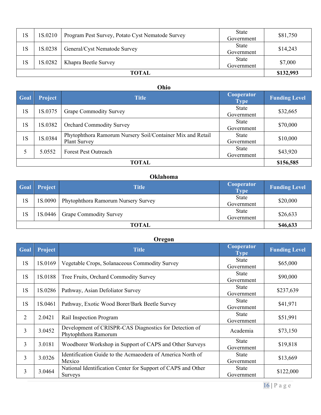| 1S    | 1S.0210 | Program Pest Survey, Potato Cyst Nematode Survey | State<br>Government | \$81,750  |
|-------|---------|--------------------------------------------------|---------------------|-----------|
| 1S    | 1S.0238 | General/Cyst Nematode Survey                     | State<br>Government | \$14,243  |
| 1S    | 1S.0282 | Khapra Beetle Survey                             | State<br>Government | \$7,000   |
| TOTAL |         |                                                  |                     | \$132,993 |

#### **Ohio**

| Goal | <b>Project</b> | <b>Title</b>                                                                      | Cooperator<br><b>Type</b>  | <b>Funding Level</b> |
|------|----------------|-----------------------------------------------------------------------------------|----------------------------|----------------------|
| 1S   | 1S.0375        | <b>Grape Commodity Survey</b>                                                     | <b>State</b><br>Government | \$32,665             |
| 1S   | 1S.0382        | <b>Orchard Commodity Survey</b>                                                   | <b>State</b><br>Government | \$70,000             |
| 1S   | 1S.0384        | Phytophthora Ramorum Nursery Soil/Container Mix and Retail<br><b>Plant Survey</b> | <b>State</b><br>Government | \$10,000             |
|      | 5.0552         | <b>Forest Pest Outreach</b>                                                       | <b>State</b><br>Government | \$43,920             |
|      | \$156,585      |                                                                                   |                            |                      |

#### **Oklahoma**

| Goal         | Project | <b>Title</b>                                  | <b>Cooperator</b><br><b>Type</b> | <b>Funding Level</b> |
|--------------|---------|-----------------------------------------------|----------------------------------|----------------------|
| 1S           |         | 1S.0090   Phytophthora Ramorum Nursery Survey | State<br>Government              | \$20,000             |
| 1S           |         | 1S.0446   Grape Commodity Survey              | State<br>Government              | \$26,633             |
| <b>TOTAL</b> |         |                                               | \$46,633                         |                      |

#### **Oregon**

| Goal | Project | <b>Title</b>                                                                   | Cooperator<br><b>Type</b>  | <b>Funding Level</b> |
|------|---------|--------------------------------------------------------------------------------|----------------------------|----------------------|
| 1S   | 1S.0169 | Vegetable Crops, Solanaceous Commodity Survey                                  | State<br>Government        | \$65,000             |
| 1S   | 1S.0188 | Tree Fruits, Orchard Commodity Survey                                          | State<br>Government        | \$90,000             |
| 1S   | 1S.0286 | Pathway, Asian Defoliator Survey                                               | <b>State</b><br>Government | \$237,639            |
| 1S   | 1S.0461 | Pathway, Exotic Wood Borer/Bark Beetle Survey                                  | State<br>Government        | \$41,971             |
| 2    | 2.0421  | Rail Inspection Program                                                        | State<br>Government        | \$51,991             |
| 3    | 3.0452  | Development of CRISPR-CAS Diagnostics for Detection of<br>Phytophthora Ramorum | Academia                   | \$73,150             |
| 3    | 3.0181  | Woodborer Workshop in Support of CAPS and Other Surveys                        | State<br>Government        | \$19,818             |
| 3    | 3.0326  | Identification Guide to the Acmaeodera of America North of<br>Mexico           | State<br>Government        | \$13,669             |
| 3    | 3.0464  | National Identification Center for Support of CAPS and Other<br><b>Surveys</b> | <b>State</b><br>Government | \$122,000            |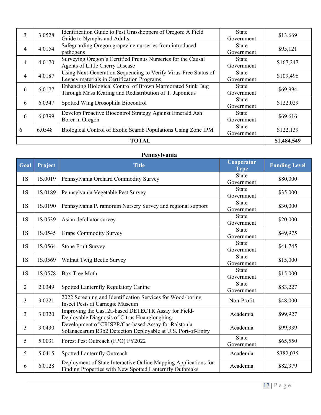| 3 | 3.0528      | Identification Guide to Pest Grasshoppers of Oregon: A Field    | State        | \$13,669  |
|---|-------------|-----------------------------------------------------------------|--------------|-----------|
|   |             | Guide to Nymphs and Adults                                      | Government   |           |
| 4 | 4.0154      | Safeguarding Oregon grapevine nurseries from introduced         | <b>State</b> | \$95,121  |
|   |             | pathogens                                                       | Government   |           |
| 4 | 4.0170      | Surveying Oregon's Certified Prunus Nurseries for the Causal    | <b>State</b> | \$167,247 |
|   |             | Agents of Little Cherry Disease                                 | Government   |           |
| 4 | 4.0187      | Using Next-Generation Sequencing to Verify Virus-Free Status of | State        | \$109,496 |
|   |             | Legacy materials in Certification Programs                      | Government   |           |
| 6 | 6.0177      | Enhancing Biological Control of Brown Marmorated Stink Bug      | State        |           |
|   |             | Through Mass Rearing and Redistribution of T. Japonicus         | Government   | \$69,994  |
| 6 | 6.0347      |                                                                 | <b>State</b> | \$122,029 |
|   |             | Spotted Wing Drosophila Biocontrol                              | Government   |           |
| 6 | 6.0399      | Develop Proactive Biocontrol Strategy Against Emerald Ash       | <b>State</b> |           |
|   |             | Borer in Oregon                                                 | Government   | \$69,616  |
|   |             |                                                                 | State        |           |
| 6 | 6.0548      | Biological Control of Exotic Scarab Populations Using Zone IPM  | Government   | \$122,139 |
|   | \$1,484,549 |                                                                 |              |           |

#### **Pennsylvania**

| Goal           | Project | <b>Title</b>                                                                                                                | Cooperator<br><b>Type</b>  | <b>Funding Level</b> |
|----------------|---------|-----------------------------------------------------------------------------------------------------------------------------|----------------------------|----------------------|
| 1S             | 1S.0019 | Pennsylvania Orchard Commodity Survey                                                                                       | <b>State</b><br>Government | \$80,000             |
| 1S             | 1S.0189 | Pennsylvania Vegetable Pest Survey                                                                                          | <b>State</b><br>Government | \$35,000             |
| 1S             | 1S.0190 | Pennsylvania P. ramorum Nursery Survey and regional support                                                                 | <b>State</b><br>Government | \$30,000             |
| 1S             | 1S.0539 | Asian defoliator survey                                                                                                     | <b>State</b><br>Government | \$20,000             |
| 1S             | 1S.0545 | <b>Grape Commodity Survey</b>                                                                                               | <b>State</b><br>Government | \$49,975             |
| 1S             | 1S.0564 | <b>Stone Fruit Survey</b>                                                                                                   | <b>State</b><br>Government | \$41,745             |
| 1S             | 1S.0569 | Walnut Twig Beetle Survey                                                                                                   | <b>State</b><br>Government | \$15,000             |
| 1S             | 1S.0578 | <b>Box Tree Moth</b>                                                                                                        | <b>State</b><br>Government | \$15,000             |
| $\overline{2}$ | 2.0349  | Spotted Lanternfly Regulatory Canine                                                                                        | <b>State</b><br>Government | \$83,227             |
| 3              | 3.0221  | 2022 Screening and Identification Services for Wood-boring<br>Insect Pests at Carnegie Museum                               | Non-Profit                 | \$48,000             |
| 3              | 3.0320  | Improving the Cas12a-based DETECTR Assay for Field-<br>Deployable Diagnosis of Citrus Huanglongbing                         | Academia                   | \$99,927             |
| 3              | 3.0430  | Development of CRISPR/Cas-based Assay for Ralstonia<br>Solanacearum R3b2 Detection Deployable at U.S. Port-of-Entry         | Academia                   | \$99,339             |
| 5              | 5.0031  | Forest Pest Outreach (FPO) FY2022                                                                                           | <b>State</b><br>Government | \$65,550             |
| 5              | 5.0415  | Spotted Lanternfly Outreach                                                                                                 | Academia                   | \$382,035            |
| 6              | 6.0128  | Deployment of State Interactive Online Mapping Applications for<br>Finding Properties with New Spotted Lanternfly Outbreaks | Academia                   | \$82,379             |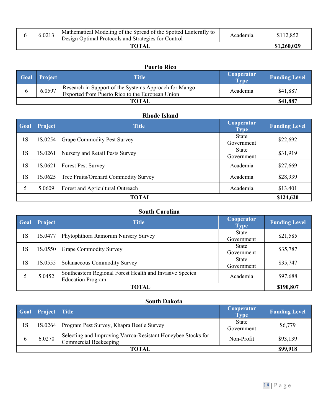| 6.0213 | Mathematical Modeling of the Spread of the Spotted Lanternfly to<br>Design Optimal Protocols and Strategies for Control | Academia | \$112,852   |
|--------|-------------------------------------------------------------------------------------------------------------------------|----------|-------------|
|        | TOTAL                                                                                                                   |          | \$1,260,029 |

|              | <b>Puerto Rico</b> |                                                                                                          |                                  |                      |  |
|--------------|--------------------|----------------------------------------------------------------------------------------------------------|----------------------------------|----------------------|--|
| <b>Goal</b>  | <b>Project</b>     | <b>Title</b>                                                                                             | <b>Cooperator</b><br><b>Type</b> | <b>Funding Level</b> |  |
|              | 6.0597             | Research in Support of the Systems Approach for Mango<br>Exported from Puerto Rico to the European Union | Academia                         | \$41,887             |  |
| <b>TOTAL</b> |                    |                                                                                                          | \$41,887                         |                      |  |

#### **Rhode Island**

| Goal         | Project | <b>Title</b>                         | Cooperator<br><b>Type</b>  | <b>Funding Level</b> |
|--------------|---------|--------------------------------------|----------------------------|----------------------|
| 1S           | 1S.0254 | <b>Grape Commodity Pest Survey</b>   | State<br>Government        | \$22,692             |
| 1S           | 1S.0261 | Nursery and Retail Pests Survey      | <b>State</b><br>Government | \$31,919             |
| 1S           | 1S.0621 | <b>Forest Pest Survey</b>            | Academia                   | \$27,669             |
| 1S           | 1S.0625 | Tree Fruits/Orchard Commodity Survey | Academia                   | \$28,939             |
| 5            | 5.0609  | Forest and Agricultural Outreach     | Academia                   | \$13,401             |
| <b>TOTAL</b> |         |                                      |                            | \$124,620            |

#### **South Carolina**

| Goal | Project   | <b>Title</b>                                                                         | Cooperator<br><b>Type</b>  | <b>Funding Level</b> |
|------|-----------|--------------------------------------------------------------------------------------|----------------------------|----------------------|
| 1S   | 1S.0477   | Phytophthora Ramorum Nursery Survey                                                  | <b>State</b><br>Government | \$21,585             |
| 1S   | 1S.0550   | <b>Grape Commodity Survey</b>                                                        | <b>State</b><br>Government | \$35,787             |
| 1S   | 1S.0555   | Solanaceous Commodity Survey                                                         | State<br>Government        | \$35,747             |
|      | 5.0452    | Southeastern Regional Forest Health and Invasive Species<br><b>Education Program</b> | Academia                   | \$97,688             |
|      | \$190,807 |                                                                                      |                            |                      |

## **South Dakota**

|       | Goal Project Title |                                                                                              | <b>Cooperator</b><br><b>Type</b> | <b>Funding Level</b> |
|-------|--------------------|----------------------------------------------------------------------------------------------|----------------------------------|----------------------|
| 1S    | 1S.0264            | Program Pest Survey, Khapra Beetle Survey                                                    | State<br>Government              | \$6,779              |
| h     | 6.0270             | Selecting and Improving Varroa-Resistant Honeybee Stocks for<br><b>Commercial Beekeeping</b> | Non-Profit                       | \$93,139             |
| TOTAL |                    |                                                                                              |                                  | \$99,918             |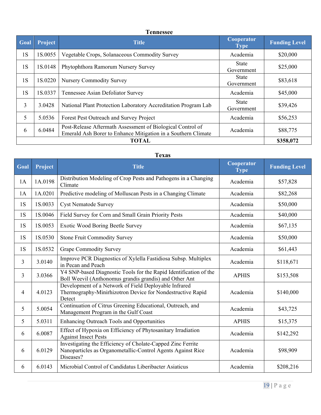| <b>Tennessee</b> |
|------------------|
|------------------|

| Goal | <b>Project</b> | <b>Title</b>                                                                                                                | Cooperator<br><b>Type</b>  | <b>Funding Level</b> |
|------|----------------|-----------------------------------------------------------------------------------------------------------------------------|----------------------------|----------------------|
| 1S   | 1S.0055        | Vegetable Crops, Solanaceous Commodity Survey                                                                               | Academia                   | \$20,000             |
| 1S   | 1S.0148        | Phytophthora Ramorum Nursery Survey                                                                                         | <b>State</b><br>Government | \$25,000             |
| 1S   | 1S.0220        | <b>Nursery Commodity Survey</b>                                                                                             | State<br>Government        | \$83,618             |
| 1S   | 1S.0337        | Tennessee Asian Defoliator Survey                                                                                           | Academia                   | \$45,000             |
| 3    | 3.0428         | National Plant Protection Laboratory Accreditation Program Lab                                                              | <b>State</b><br>Government | \$39,426             |
| 5    | 5.0536         | Forest Pest Outreach and Survey Project                                                                                     | Academia                   | \$56,253             |
| 6    | 6.0484         | Post-Release Aftermath Assessment of Biological Control of<br>Emerald Ash Borer to Enhance Mitigation in a Southern Climate | Academia                   | \$88,775             |
|      | \$358,072      |                                                                                                                             |                            |                      |

## **Texas**

| Goal | Project | <b>Title</b>                                                                                                                            | Cooperator<br><b>Type</b> | <b>Funding Level</b> |
|------|---------|-----------------------------------------------------------------------------------------------------------------------------------------|---------------------------|----------------------|
| 1A   | 1A.0198 | Distribution Modeling of Crop Pests and Pathogens in a Changing<br>Climate                                                              | Academia                  | \$57,828             |
| 1A   | 1A.0201 | Predictive modeling of Molluscan Pests in a Changing Climate                                                                            | Academia                  | \$82,268             |
| 1S   | 1S.0033 | <b>Cyst Nematode Survey</b>                                                                                                             | Academia                  | \$50,000             |
| 1S   | 1S.0046 | Field Survey for Corn and Small Grain Priority Pests                                                                                    | Academia                  | \$40,000             |
| 1S   | 1S.0053 | <b>Exotic Wood Boring Beetle Survey</b>                                                                                                 | Academia                  | \$67,135             |
| 1S   | 1S.0530 | <b>Stone Fruit Commodity Survey</b>                                                                                                     | Academia                  | \$50,000             |
| 1S   | 1S.0532 | <b>Grape Commodity Survey</b>                                                                                                           | Academia                  | \$61,443             |
| 3    | 3.0140  | Improve PCR Diagnostics of Xylella Fastidiosa Subsp. Multiplex<br>in Pecan and Peach                                                    | Academia                  | \$118,671            |
| 3    | 3.0366  | Y4 SNP-based Diagnostic Tools for the Rapid Identification of the<br>Boll Weevil (Anthonomus grandis grandis) and Other Ant             | <b>APHIS</b>              | \$153,508            |
| 4    | 4.0123  | Development of a Network of Field Deployable Infrared<br>Thermography-Minirhizotron Device for Nondestructive Rapid<br>Detect           | Academia                  | \$140,000            |
| 5    | 5.0054  | Continuation of Citrus Greening Educational, Outreach, and<br>Management Program in the Gulf Coast                                      | Academia                  | \$43,725             |
| 5    | 5.0311  | <b>Enhancing Outreach Tools and Opportunities</b>                                                                                       | <b>APHIS</b>              | \$15,375             |
| 6    | 6.0087  | Effect of Hypoxia on Efficiency of Phytosanitary Irradiation<br><b>Against Insect Pests</b>                                             | Academia                  | \$142,292            |
| 6    | 6.0129  | Investigating the Efficiency of Cholate-Capped Zinc Ferrite<br>Nanoparticles as Organometallic-Control Agents Against Rice<br>Diseases? | Academia                  | \$98,909             |
| 6    | 6.0143  | Microbial Control of Candidatus Liberibacter Asiaticus                                                                                  | Academia                  | \$208,216            |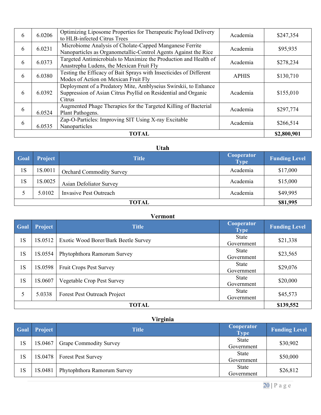| 6 | 6.0206      | Optimizing Liposome Properties for Therapeutic Payload Delivery<br>to HLB-infected Citrus Trees                                             | Academia     | \$247,354 |
|---|-------------|---------------------------------------------------------------------------------------------------------------------------------------------|--------------|-----------|
| 6 | 6.0231      | Microbiome Analysis of Cholate-Capped Manganese Ferrite<br>Nanoparticles as Organometallic-Control Agents Against the Rice                  | Academia     | \$95,935  |
| 6 | 6.0373      | Targeted Antimicrobials to Maximize the Production and Health of<br>Anastrepha Ludens, the Mexican Fruit Fly                                | Academia     | \$278,234 |
| 6 | 6.0380      | Testing the Efficacy of Bait Sprays with Insecticides of Different<br>Modes of Action on Mexican Fruit Fly                                  | <b>APHIS</b> | \$130,710 |
| 6 | 6.0392      | Deployment of a Predatory Mite, Amblyseius Swirskii, to Enhance<br>Suppression of Asian Citrus Psyllid on Residential and Organic<br>Citrus | Academia     | \$155,010 |
| 6 | 6.0524      | Augmented Phage Therapies for the Targeted Killing of Bacterial<br>Plant Pathogens.                                                         | Academia     | \$297,774 |
| 6 | 6.0535      | Zap-O-Particles: Improving SIT Using X-ray Excitable<br>Nanoparticles                                                                       | Academia     | \$266,514 |
|   | \$2,800,901 |                                                                                                                                             |              |           |

## **Utah**

| Goal  | Project | <b>Title</b>                    | Cooperator<br><b>Type</b> | <b>Funding Level</b> |
|-------|---------|---------------------------------|---------------------------|----------------------|
| 1S    | 1S.0011 | <b>Orchard Commodity Survey</b> | Academia                  | \$17,000             |
| 1S    | 1S.0025 | <b>Asian Defoliator Survey</b>  | Academia                  | \$15,000             |
|       | 5.0102  | Invasive Pest Outreach          | Academia                  | \$49,995             |
| TOTAL |         |                                 |                           | \$81,995             |

|      | <b>Vermont</b> |                                      |                            |                      |  |
|------|----------------|--------------------------------------|----------------------------|----------------------|--|
| Goal | Project        | <b>Title</b>                         | Cooperator<br><b>Type</b>  | <b>Funding Level</b> |  |
| 1S   | 1S.0512        | Exotic Wood Borer/Bark Beetle Survey | <b>State</b><br>Government | \$21,338             |  |
| 1S   | 1S.0554        | Phytophthora Ramorum Survey          | State<br>Government        | \$23,565             |  |
| 1S   | 1S.0598        | <b>Fruit Crops Pest Survey</b>       | <b>State</b><br>Government | \$29,076             |  |
| 1S   | 1S.0607        | Vegetable Crop Pest Survey           | <b>State</b><br>Government | \$20,000             |  |
| 5    | 5.0338         | Forest Pest Outreach Project         | <b>State</b><br>Government | \$45,573             |  |
|      | <b>TOTAL</b>   |                                      |                            | \$139,552            |  |

## **Virginia**

| Goal | Project | <b>Title</b>                  | Cooperator<br><b>Type</b>  | <b>Funding Level</b> |
|------|---------|-------------------------------|----------------------------|----------------------|
| 1S   | 1S.0467 | <b>Grape Commodity Survey</b> | <b>State</b><br>Government | \$30,902             |
| 1S   | 1S.0478 | <b>Forest Pest Survey</b>     | <b>State</b><br>Government | \$50,000             |
| 1S   | 1S.0481 | Phytophthora Ramorum Survey   | State<br>Government        | \$26,812             |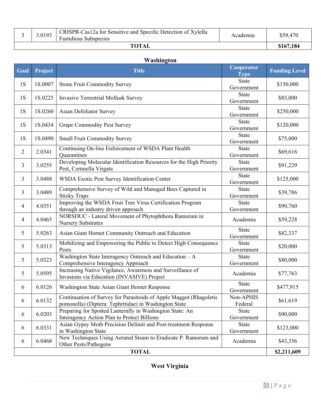|              | 3.0193 | CRISPR-Cas12a for Sensitive and Specific Detection of Xylella<br>Fastidiosa Subspecies | Academia  | \$59,470 |
|--------------|--------|----------------------------------------------------------------------------------------|-----------|----------|
| <b>TOTAL</b> |        |                                                                                        | \$167,184 |          |

#### **Washington**

| Goal           | Project | <b>Title</b>                                                                                                                | Cooperator<br><b>Type</b>  | <b>Funding Level</b> |
|----------------|---------|-----------------------------------------------------------------------------------------------------------------------------|----------------------------|----------------------|
| 1S             | 1S.0007 | <b>Stone Fruit Commodity Survey</b>                                                                                         | <b>State</b><br>Government | \$150,000            |
| 1S             | 1S.0225 | Invasive Terrestrial Mollusk Survey                                                                                         | <b>State</b><br>Government | \$85,000             |
| 1S             | 1S.0260 | Asian Defoliator Survey                                                                                                     | <b>State</b><br>Government | \$250,000            |
| 1S             | 1S.0434 | <b>Grape Commodity Pest Survey</b>                                                                                          | <b>State</b><br>Government | \$120,000            |
| 1S             | 1S.0490 | Small Fruit Commodity Survey                                                                                                | <b>State</b><br>Government | \$75,000             |
| $\overline{2}$ | 2.0341  | Continuing On-line Enforcement of WSDA Plant Health<br>Quarantines                                                          | <b>State</b><br>Government | \$69,616             |
| 3              | 3.0255  | Developing Molecular Identification Resources for the High Priority<br>Pest, Cernuella Virgata                              | <b>State</b><br>Government | \$91,229             |
| 3              | 3.0488  | WSDA Exotic Pest Survey Identification Center                                                                               | <b>State</b><br>Government | \$125,000            |
| 3              | 3.0489  | Comprehensive Survey of Wild and Managed Bees Captured in<br><b>Sticky Traps</b>                                            | <b>State</b><br>Government | \$39,786             |
| 4              | 4.0351  | Improving the WSDA Fruit Tree Virus Certification Program<br>through an industry driven approach                            | <b>State</b><br>Government | \$90,760             |
| $\overline{4}$ | 4.0465  | NORSDUC - Lateral Movement of Phytophthora Ramorum in<br><b>Nursery Substrates</b>                                          | Academia                   | \$59,228             |
| 5              | 5.0263  | Asian Giant Hornet Community Outreach and Education                                                                         | <b>State</b><br>Government | \$82,337             |
| 5              | 5.0313  | Mobilizing and Empowering the Public to Detect High Consequence<br>Pests                                                    | <b>State</b><br>Government | \$20,000             |
| 5              | 5.0323  | Washington State Interagency Outreach and Education - A<br>Comprehensive Interagency Approach                               | <b>State</b><br>Government | \$80,000             |
| 5              | 5.0595  | Increasing Native Vigilance, Awareness and Surveillance of<br>Invasions via Education (INVASIVE) Project                    | Academia                   | \$77,763             |
| 6              | 6.0126  | Washington State Asian Giant Hornet Response                                                                                | <b>State</b><br>Government | \$477,915            |
| 6              | 6.0132  | Continuation of Survey for Parasitoids of Apple Maggot (Rhagoletis<br>pomonella) (Diptera: Tephritidae) in Washington State | Non-APHIS<br>Federal       | \$61,619             |
| 6              | 6.0203  | Preparing for Spotted Lanternfly in Washington State: An<br>Interagency Action Plan to Protect Billions                     | <b>State</b><br>Government | \$90,000             |
| 6              | 6.0331  | Asian Gypsy Moth Precision Delimit and Post-treatment Response<br>in Washington State                                       | <b>State</b><br>Government | \$123,000            |
| 6              | 6.0468  | New Techniques Using Aerated Steam to Eradicate P. Ramorum and<br>Other Pests/Pathogens                                     | Academia                   | \$43,356             |
| <b>TOTAL</b>   |         |                                                                                                                             |                            |                      |

## **West Virginia**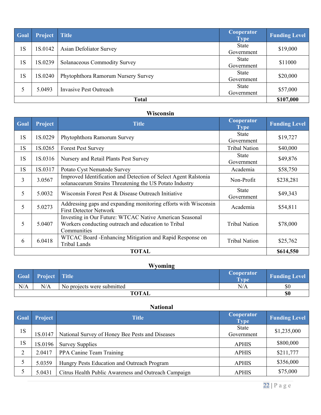| Goal         | Project | <b>Title</b>                        | Cooperator<br><b>Type</b> | <b>Funding Level</b> |
|--------------|---------|-------------------------------------|---------------------------|----------------------|
| 1S           | 1S.0142 | Asian Defoliator Survey             | State<br>Government       | \$19,000             |
| 1S           | 1S.0239 | Solanaceous Commodity Survey        | State<br>Government       | \$11000              |
| 1S           | 1S.0240 | Phytophthora Ramorum Nursery Survey | State<br>Government       | \$20,000             |
|              | 5.0493  | Invasive Pest Outreach              | State<br>Government       | \$57,000             |
| <b>Total</b> |         |                                     |                           |                      |

## **Wisconsin**

| Goal         | Project | <b>Title</b>                                                                                                                  | Cooperator<br><b>Type</b>  | <b>Funding Level</b> |  |
|--------------|---------|-------------------------------------------------------------------------------------------------------------------------------|----------------------------|----------------------|--|
| 1S           | 1S.0229 | Phytophthora Ramorum Survey                                                                                                   | <b>State</b><br>Government | \$19,727             |  |
| 1S           | 1S.0265 | <b>Forest Pest Survey</b>                                                                                                     | <b>Tribal Nation</b>       | \$40,000             |  |
| 1S           | 1S.0316 | Nursery and Retail Plants Pest Survey                                                                                         | <b>State</b><br>Government | \$49,876             |  |
| 1S           | 1S.0317 | Potato Cyst Nematode Survey                                                                                                   | Academia                   | \$58,750             |  |
| 3            | 3.0567  | Improved Identification and Detection of Select Agent Ralstonia<br>solanacearum Strains Threatening the US Potato Industry    | Non-Profit                 | \$238,281            |  |
| 5            | 5.0032  | Wisconsin Forest Pest & Disease Outreach Initiative                                                                           | <b>State</b><br>Government | \$49,343             |  |
| 5            | 5.0273  | Addressing gaps and expanding monitoring efforts with Wisconsin<br><b>First Detector Network</b>                              | Academia                   | \$54,811             |  |
| 5            | 5.0407  | Investing in Our Future: WTCAC Native American Seasonal<br>Workers conducting outreach and education to Tribal<br>Communities | <b>Tribal Nation</b>       | \$78,000             |  |
| 6            | 6.0418  | WTCAC Board - Enhancing Mitigation and Rapid Response on<br><b>Tribal Lands</b>                                               | <b>Tribal Nation</b>       | \$25,762             |  |
| <b>TOTAL</b> |         |                                                                                                                               |                            |                      |  |

# **Wyoming**

|              | <b>Goal</b> Project Title |                            | Cooperator<br>Type | <b>Funding Level</b> |
|--------------|---------------------------|----------------------------|--------------------|----------------------|
| N/A          | N/A                       | No projects were submitted | N/A                | \$0                  |
| <b>TOTAL</b> |                           |                            |                    | \$0                  |

|      | <b>National</b> |                                                      |                           |                      |  |
|------|-----------------|------------------------------------------------------|---------------------------|----------------------|--|
| Goal | Project         | <b>Title</b>                                         | Cooperator<br><b>Type</b> | <b>Funding Level</b> |  |
| 1S   | 1S.0147         | National Survey of Honey Bee Pests and Diseases      | State<br>Government       | \$1,235,000          |  |
| 1S   | 1S.0196         | <b>Survey Supplies</b>                               | <b>APHIS</b>              | \$800,000            |  |
| 2    | 2.0417          | PPA Canine Team Training                             | <b>APHIS</b>              | \$211,777            |  |
|      | 5.0359          | Hungry Pests Education and Outreach Program          | <b>APHIS</b>              | \$356,000            |  |
|      | 5.0431          | Citrus Health Public Awareness and Outreach Campaign | <b>APHIS</b>              | \$75,000             |  |